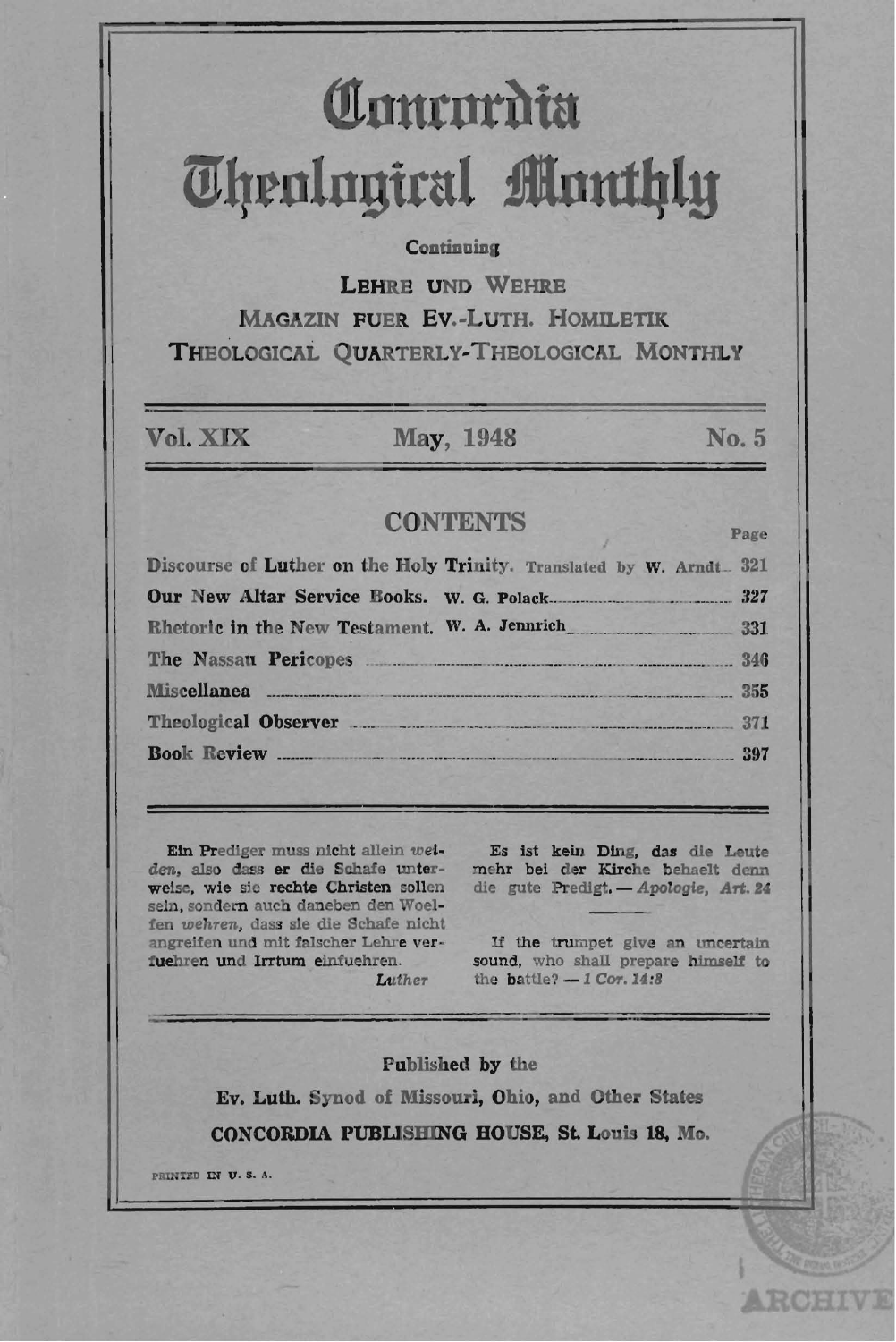# Communita **Thenlogical Monthly**

### Continuing

**LEHRE UND WEHRE** 

**MAGAZIN FUER EV.-LUTH, HOMILETIK** THEOLOGICAL OUARTERLY-THEOLOGICAL MONTHLY

Vol. XIX

May, 1948

### No. 5

Page

### **CONTENTS**

Discourse of Luther on the Holy Trinity. Translated by W. Arndt. 321  $327$ Rhetoric in the New Testament. W. A. Jennrich  $331$ The Nassau Pericopes  $346$ **Miscellanea** 355 Theological Observer 271 **Book Review** 397

Ein Prediger muss nicht allein weian, also dass er die Schafe unter- mehr bei der Kirche behaelt denn<br>welse, wie sie rechte Christen sollen die gute Predigt. -- Apologie, Art. 24 sein, sondern auch daneben den Woelfen wehren, dass sie die Schafe nicht angreifen und mit falscher Lehre verfuehren und Irrtum einfuehren.

Luther

Es ist kein Ding, das die Leute

If the trumpet give an uncertain sound, who shall prepare himself to the battle?  $-1$  Cor. 14:8

#### Published by the

Ev. Luth. Synod of Missouri, Ohio, and Other States CONCORDIA PUBLISHING HOUSE, St. Louis 18, Mo.

PRINTED IN U.S.A.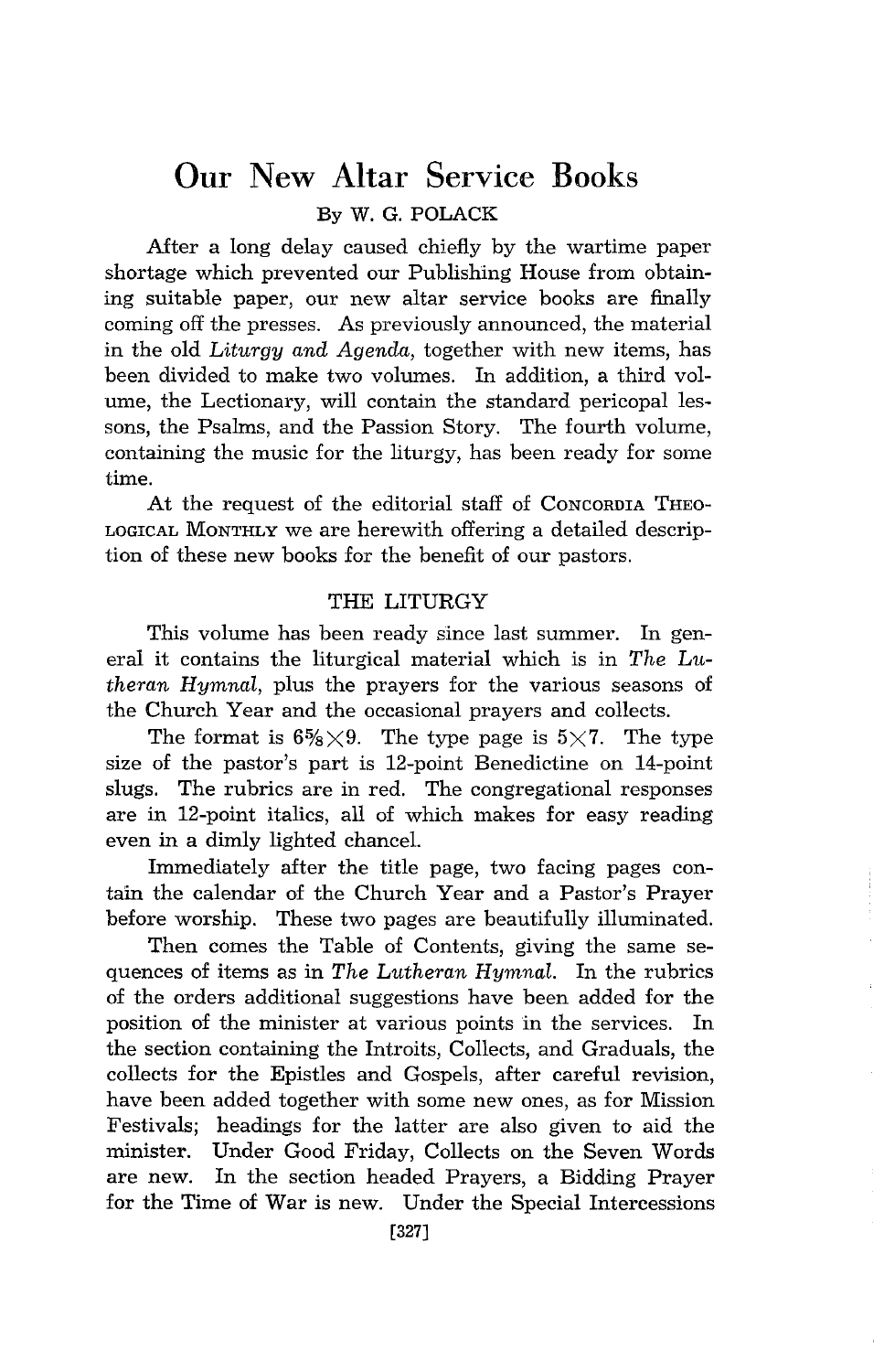## **Our** New **Altar** Service Books

By W. G. POLACK

After a long delay caused chiefly by the wartime paper shortage which prevented our Publishing House from obtaining suitable paper, our new altar service books are finally coming off the presses. As previously announced, the material in the old *Liturgy and Agenda,* together with new items, has been divided to make two volumes. In addition, a third volume, the Lectionary, will contain the standard pericopal lessons, the Psalms, and the Passion Story. The fourth volume, containing the music for the liturgy, has been ready for some time.

At the request of the editorial staff of CONCORDIA THEO-LOGICAL MONTHLY we are herewith offering a detailed description of these new books for the benefit of our pastors.

### THE LITURGY

This volume has been ready since last summer. In general it contains the liturgical material whlch is in *The Lutheran Hymnal,* plus the prayers for the various seasons of the Church Year and the occasional prayers and collects.

The format is  $6\frac{5}{8}\times9$ . The type page is  $5\times7$ . The type size of the pastor's part is 12-point Benedictine on 14-point slugs. The rubrics are in red. The congregational responses are in 12-point italics, all of which makes for easy reading even in a dimly lighted chancel.

Immediately after the title page, two facing pages contain the calendar of the Church Year and a Pastor's Prayer before worship. These two pages are beautifully illuminated.

Then comes the Table of Contents, giving the same sequences of items as in *The Lutheran Hymnal.* In the rubrics of the orders additional suggestions have been added for the position of the minister at various points in the services. In the section containing the Introits, Collects, and Graduals, the collects for the Epistles and Gospels, after careful revision, have been added together with some new ones, as for Mission Festivals; headings for the latter are also given to aid the minister. Under Good Friday, Collects on the Seven Words are new. In the section headed Prayers, a Bidding Prayer for the Time of War is new. Under the Special Intercessions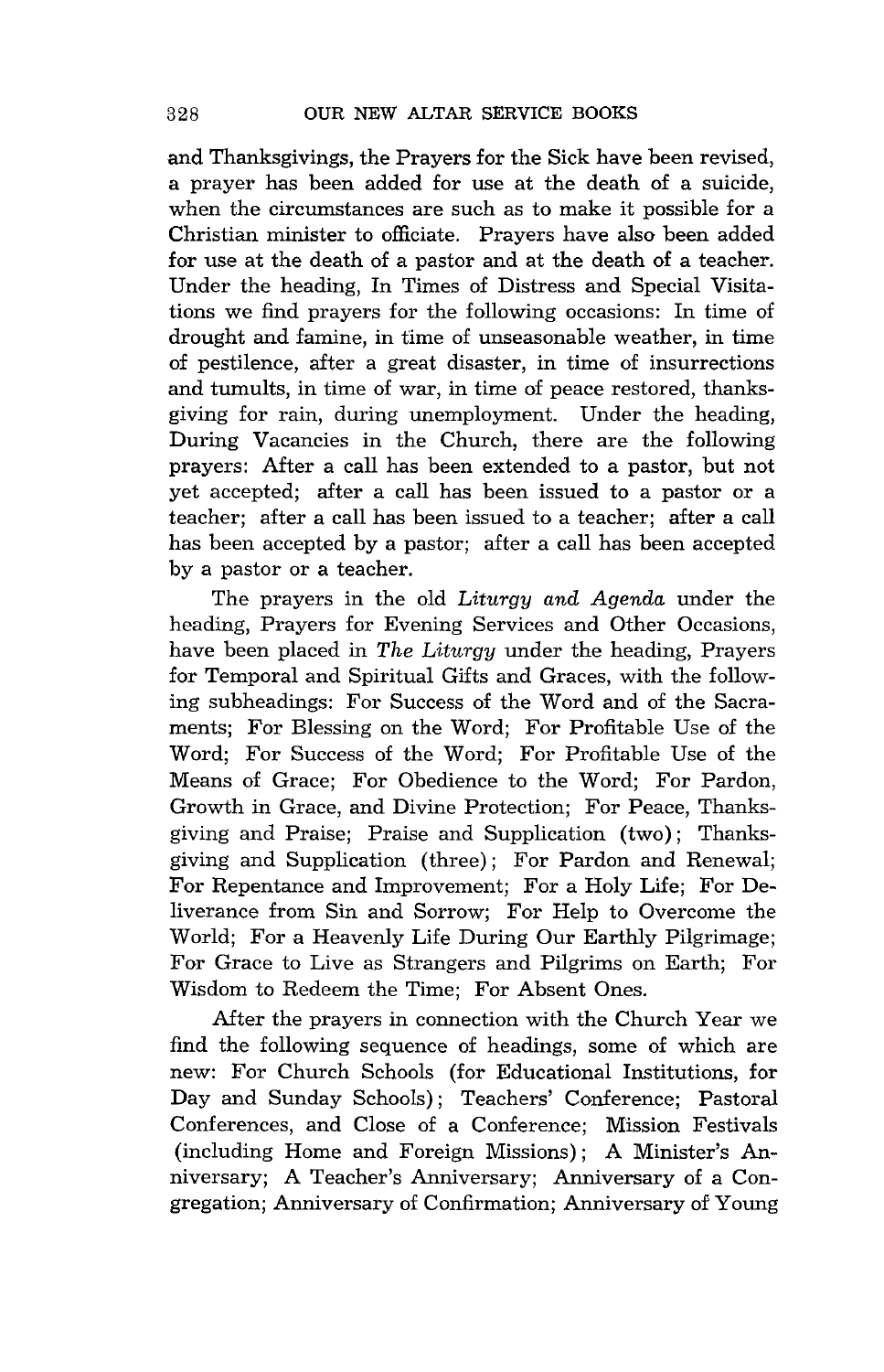and Thanksgivings, the Prayers for the Sick have been revised, a prayer has been added for use at the death of a suicide, when the circumstances are such as to make it possible for a Christian minister to officiate. Prayers have also been added for use at the death of a pastor and at the death of a teacher. Under the heading, In Times of Distress and Special Visitations we find prayers for the following occasions: In time of drought and famine, in time of unseasonable weather, in time of pestilence, after a great disaster, in time of insurrections and tumults, in time of war, in time of peace restored, thanksgiving for rain, during unemployment. Under the heading, During Vacancies in the Church, there are the following prayers: After a call has been extended to a pastor, but not yet accepted; after a call has been issued to a pastor or a teacher; after a call has been issued to a teacher; after a call has been accepted by a pastor; after a call has been accepted by a pastor or a teacher.

The prayers in the old *Liturgy and Agenda* under the heading, Prayers for Evening Services and Other Occasions, have been placed in *The Liturgy* under the heading, Prayers for Temporal and Spiritual Gifts and Graces, with the following subheadings: For Success of the Word and of the Sacraments; For Blessing on the Word; For Profitable Use of the Word; For Success of the Word; For Profitable Use of the Means of Grace; For Obedience to the Word; For Pardon, Growth in Grace, and Divine Protection; For Peace, Thanksgiving and Praise; Praise and Supplication (two); Thanksgiving and Supplication (three); For Pardon and Renewal; For Repentance and Improvement; For a Holy Life; For Deliverance from Sin and Sorrow; For Help to Overcome the World; For a Heavenly Life During Our Earthly Pilgrimage; For Grace to Live as Strangers and Pilgrims on Earth; For Wisdom to Redeem the Time; For Absent Ones.

After the prayers in connection with the Church Year we find the following sequence of headings, some of which are new: For Church Schools (for Educational Institutions, for Day and Sunday Schools); Teachers' Conference; Pastoral Conferences, and Close of a Conference; Mission Festivals (including Home and Foreign Missions); A Minister's Anniversary; A Teacher's Anniversary; Anniversary of a Congregation; Anniversary of Confirmation; Anniversary of Young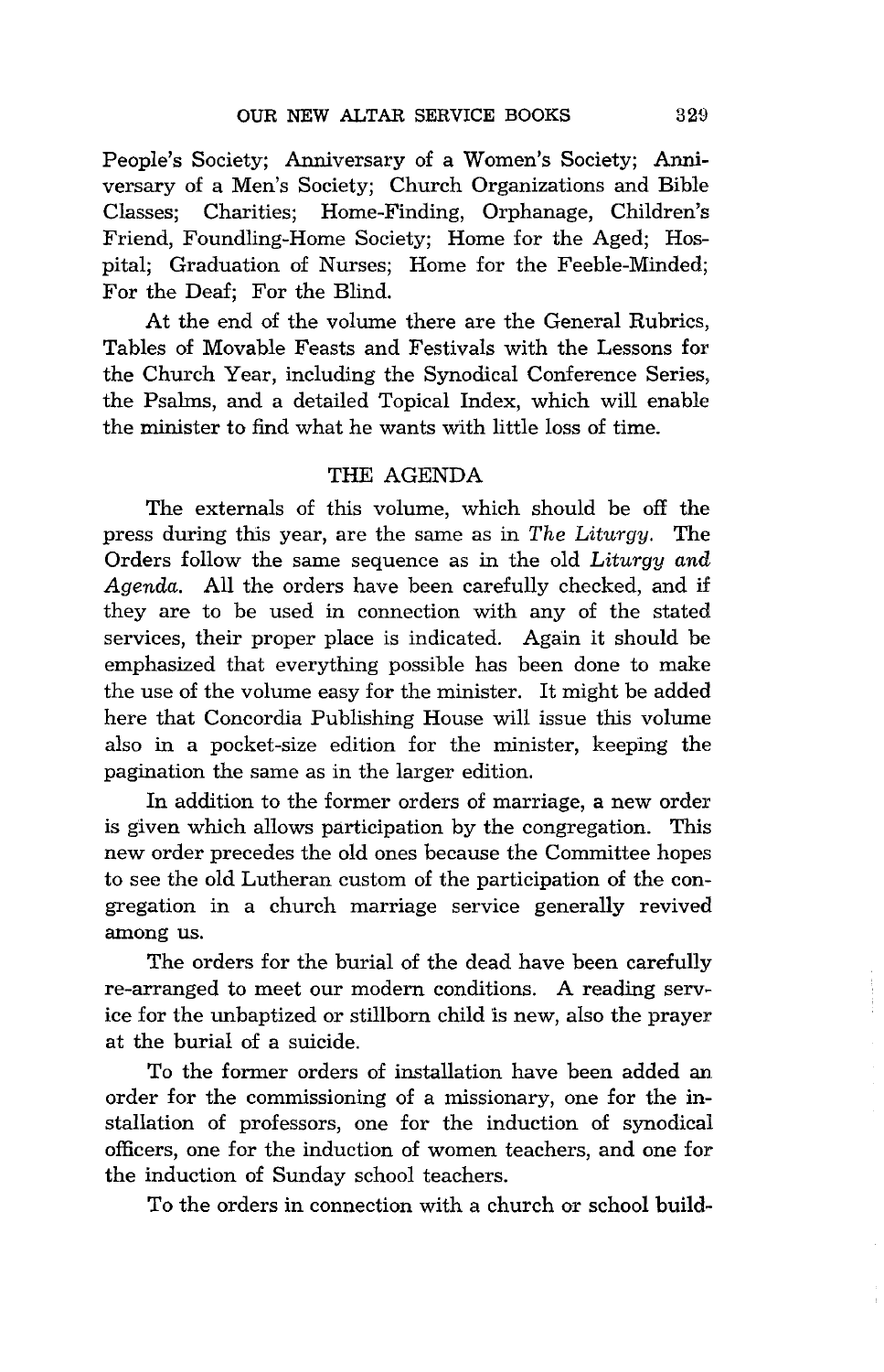People's Society; Anniversary of a Women's Society; Anniversary of a Men's Society; Church Organizations and Bible Classes; Charities; Home-Finding, Orphanage, Children's Friend, Foundling-Home Society; Home for the Aged; Hospital; Graduation of Nurses; Home for the Feeble-Minded; For the Deaf; For the Blind.

At the end of the volume there are the General Rubrics, Tables of Movable Feasts and Festivals with the Lessons for the Church Year, including the Synodical Conference Series, the Psalms, and a detailed Topical Index, which will enable the minister to find what he wants with little loss of time.

### THE AGENDA

The externals of this volume, which should be off the press during this year, are the same as in *The Liturgy.* The Orders follow the same sequence as in the old *Liturgy and Agenda.* All the orders have been carefully checked, and if they are to be used in connection with any of the stated services, their proper place is indicated. Again it should be emphasized that everything possible has been done to make the use of the volume easy for the minister. It might be added here that Concordia Publishing House will issue this volume also in a pocket-size edition for the minister, keeping the pagination the same as in the larger edition.

In addition to the former orders of marriage, a new order is given which allows participation by the congregation. This new order precedes the old ones because the Committee hopes to see the old Lutheran custom of the participation of the congregation in a church marriage service generally revived among us.

The orders for the burial of the dead have been carefully re-arranged to meet our modern conditions. A reading service for the unbaptized or stillborn child is new, also the prayer at the burial of a suicide.

To the former orders of installation have been added an order for the commissioning of a missionary, one for the installation of professors, one for the induction of synodical officers, one for the induction of women teachers, and one for the induction of Sunday school teachers.

To the orders in connection with a church or school build-